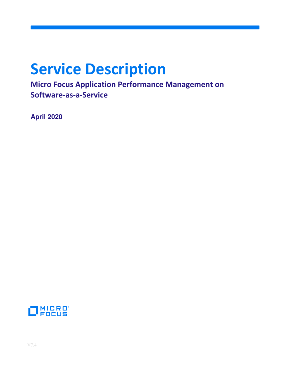# **Service Description**

**Micro Focus Application Performance Management on Software-as-a-Service**

**April 2020** 

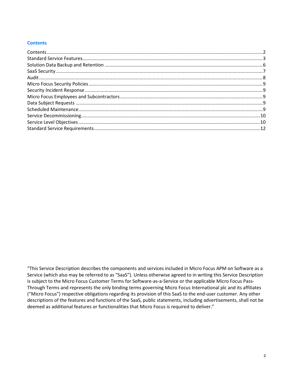## **Contents**

"This Service Description describes the components and services included in Micro Focus APM on Software as a Service (which also may be referred to as "SaaS"). Unless otherwise agreed to in writing this Service Description is subject to the Micro Focus Customer Terms for Software-as-a-Service or the applicable Micro Focus Pass-Through Terms and represents the only binding terms governing Micro Focus International plc and its affiliates ("Micro Focus") respective obligations regarding its provision of this SaaS to the end-user customer. Any other descriptions of the features and functions of the SaaS, public statements, including advertisements, shall not be deemed as additional features or functionalities that Micro Focus is required to deliver."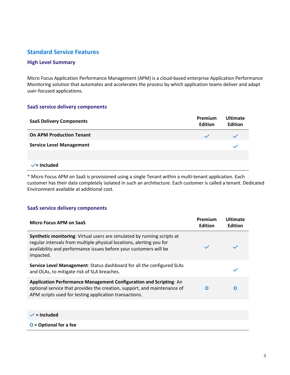# **Standard Service Features**

## **High Level Summary**

Micro Focus Application Performance Management (APM) is a cloud-based enterprise Application Performance Monitoring solution that automates and accelerates the process by which application teams deliver and adapt user-focused applications.

## **SaaS service delivery components**

| <b>SaaS Delivery Components</b> | Premium<br><b>Edition</b> | <b>Ultimate</b><br><b>Edition</b> |
|---------------------------------|---------------------------|-----------------------------------|
| <b>On APM Production Tenant</b> | $\checkmark$              |                                   |
| <b>Service Level Management</b> |                           |                                   |
|                                 |                           |                                   |
| $\checkmark$ = Included         |                           |                                   |

\* Micro Focus APM on SaaS is provisioned using a single Tenant within a multi-tenant application. Each customer has their data completely isolated in such an architecture. Each customer is called a tenant. Dedicated Environment available at additional cost.

## **SaaS service delivery components**

| <b>Micro Focus APM on SaaS</b>                                                                                                                                                                                                    | Premium<br><b>Edition</b> | <b>Ultimate</b><br><b>Edition</b> |
|-----------------------------------------------------------------------------------------------------------------------------------------------------------------------------------------------------------------------------------|---------------------------|-----------------------------------|
| Synthetic monitoring: Virtual users are simulated by running scripts at<br>regular intervals from multiple physical locations, alerting you for<br>availability and performance issues before your customers will be<br>impacted. |                           |                                   |
| Service Level Management: Status dashboard for all the configured SLAs<br>and OLAs, to mitigate risk of SLA breaches.                                                                                                             |                           |                                   |
| Application Performance Management Configuration and Scripting: An<br>optional service that provides the creation, support, and maintenance of<br>APM scripts used for testing application transactions.                          | O                         | O                                 |
|                                                                                                                                                                                                                                   |                           |                                   |
| $\checkmark$ = Included                                                                                                                                                                                                           |                           |                                   |
| $O =$ Optional for a fee                                                                                                                                                                                                          |                           |                                   |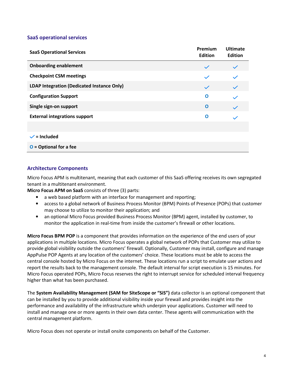## **SaaS operational services**

| <b>SaaS Operational Services</b>           | Premium<br><b>Edition</b> | <b>Ultimate</b><br><b>Edition</b> |
|--------------------------------------------|---------------------------|-----------------------------------|
| <b>Onboarding enablement</b>               | $\checkmark$              | $\checkmark$                      |
| <b>Checkpoint CSM meetings</b>             | $\checkmark$              |                                   |
| LDAP Integration (Dedicated Instance Only) | $\checkmark$              | $\checkmark$                      |
| <b>Configuration Support</b>               | O                         | $\checkmark$                      |
| Single sign-on support                     | $\mathbf 0$               | $\checkmark$                      |
| <b>External integrations support</b>       | O                         |                                   |
|                                            |                           |                                   |
| $\checkmark$ = Included                    |                           |                                   |
| $O =$ Optional for a fee                   |                           |                                   |

## **Architecture Components**

Micro Focus APM is multitenant, meaning that each customer of this SaaS offering receives its own segregated tenant in a multitenant environment.

**Micro Focus APM on SaaS** consists of three (3) parts:

- a web based platform with an interface for management and reporting;
- access to a global network of Business Process Monitor (BPM) Points of Presence (POPs) that customer may choose to utilize to monitor their application; and
- an optional Micro Focus provided Business Process Monitor (BPM) agent, installed by customer, to monitor the application in real-time from inside the customer's firewall or other locations.

**Micro Focus BPM POP** is a component that provides information on the experience of the end users of your applications in multiple locations. Micro Focus operates a global network of POPs that Customer may utilize to provide global visibility outside the customers' firewall. Optionally, Customer may install, configure and manage AppPulse POP Agents at any location of the customers' choice. These locations must be able to access the central console hosted by Micro Focus on the internet. These locations run a script to emulate user actions and report the results back to the management console. The default interval for script execution is 15 minutes. For Micro Focus operated POPs, Micro Focus reserves the right to interrupt service for scheduled interval frequency higher than what has been purchased.

The **System Availability Management (SAM for SiteScope or "SiS")** data collector is an optional component that can be installed by you to provide additional visibility inside your firewall and provides insight into the performance and availability of the infrastructure which underpin your applications. Customer will need to install and manage one or more agents in their own data center. These agents will communication with the central management platform.

Micro Focus does not operate or install onsite components on behalf of the Customer.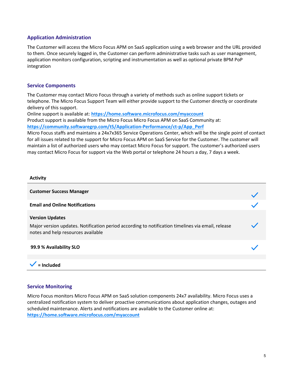## **Application Administration**

The Customer will access the Micro Focus APM on SaaS application using a web browser and the URL provided to them. Once securely logged in, the Customer can perform administrative tasks such as user management, application monitors configuration, scripting and instrumentation as well as optional private BPM PoP integration

#### **Service Components**

The Customer may contact Micro Focus through a variety of methods such as online support tickets or telephone. The Micro Focus Support Team will either provide support to the Customer directly or coordinate delivery of this support.

Online support is available at: **https://home.software.microfocus.com/myaccount** Product support is available from the Micro Focus Micro Focus APM on SaaS Community at: **https://community.softwaregrp.com/t5/Application-Performance/ct-p/App\_Perf**

Micro Focus staffs and maintains a 24x7x365 Service Operations Center, which will be the single point of contact for all issues related to the support for Micro Focus APM on SaaS Service for the Customer. The customer will maintain a list of authorized users who may contact Micro Focus for support. The customer's authorized users may contact Micro Focus for support via the Web portal or telephone 24 hours a day, 7 days a week.

| <b>Activity</b>                                                                                                                                                   |  |
|-------------------------------------------------------------------------------------------------------------------------------------------------------------------|--|
| <b>Customer Success Manager</b>                                                                                                                                   |  |
| <b>Email and Online Notifications</b>                                                                                                                             |  |
| <b>Version Updates</b><br>Major version updates. Notification period according to notification timelines via email, release<br>notes and help resources available |  |
| 99.9 % Availability SLO                                                                                                                                           |  |
|                                                                                                                                                                   |  |
| = Included                                                                                                                                                        |  |

#### **Service Monitoring**

Micro Focus monitors Micro Focus APM on SaaS solution components 24x7 availability. Micro Focus uses a centralized notification system to deliver proactive communications about application changes, outages and scheduled maintenance. Alerts and notifications are available to the Customer online at: **https://home.software.microfocus.com/myaccount**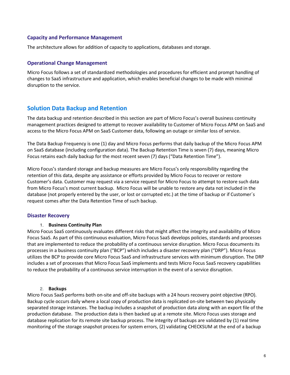#### **Capacity and Performance Management**

The architecture allows for addition of capacity to applications, databases and storage.

#### **Operational Change Management**

Micro Focus follows a set of standardized methodologies and procedures for efficient and prompt handling of changes to SaaS infrastructure and application, which enables beneficial changes to be made with minimal disruption to the service.

## **Solution Data Backup and Retention**

The data backup and retention described in this section are part of Micro Focus's overall business continuity management practices designed to attempt to recover availability to Customer of Micro Focus APM on SaaS and access to the Micro Focus APM on SaaS Customer data, following an outage or similar loss of service.

The Data Backup Frequency is one (1) day and Micro Focus performs that daily backup of the Micro Focus APM on SaaS database (including configuration data). The Backup Retention Time is seven (7) days, meaning Micro Focus retains each daily backup for the most recent seven (7) days ("Data Retention Time").

Micro Focus's standard storage and backup measures are Micro Focus's only responsibility regarding the retention of this data, despite any assistance or efforts provided by Micro Focus to recover or restore Customer's data. Customer may request via a service request for Micro Focus to attempt to restore such data from Micro Focus's most current backup. Micro Focus will be unable to restore any data not included in the database (not properly entered by the user, or lost or corrupted etc.) at the time of backup or if Customer´s request comes after the Data Retention Time of such backup.

## **Disaster Recovery**

#### 1. **Business Continuity Plan**

Micro Focus SaaS continuously evaluates different risks that might affect the integrity and availability of Micro Focus SaaS. As part of this continuous evaluation, Micro Focus SaaS develops policies, standards and processes that are implemented to reduce the probability of a continuous service disruption. Micro Focus documents its processes in a business continuity plan ("BCP") which includes a disaster recovery plan ("DRP"). Micro Focus utilizes the BCP to provide core Micro Focus SaaS and infrastructure services with minimum disruption. The DRP includes a set of processes that Micro Focus SaaS implements and tests Micro Focus SaaS recovery capabilities to reduce the probability of a continuous service interruption in the event of a service disruption.

#### 2. **Backups**

Micro Focus SaaS performs both on-site and off-site backups with a 24 hours recovery point objective (RPO). Backup cycle occurs daily where a local copy of production data is replicated on-site between two physically separated storage instances. The backup includes a snapshot of production data along with an export file of the production database. The production data is then backed up at a remote site. Micro Focus uses storage and database replication for its remote site backup process. The integrity of backups are validated by (1) real time monitoring of the storage snapshot process for system errors, (2) validating CHECKSUM at the end of a backup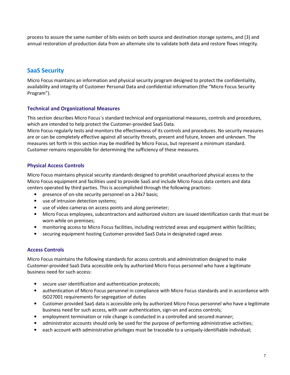process to assure the same number of bits exists on both source and destination storage systems, and (3) and annual restoration of production data from an alternate site to validate both data and restore flows integrity.

# **SaaS Security**

Micro Focus maintains an information and physical security program designed to protect the confidentiality, availability and integrity of Customer Personal Data and confidential information (the "Micro Focus Security Program").

## **Technical and Organizational Measures**

This section describes Micro Focus´s standard technical and organizational measures, controls and procedures, which are intended to help protect the Customer-provided SaaS Data.

Micro Focus regularly tests and monitors the effectiveness of its controls and procedures. No security measures are or can be completely effective against all security threats, present and future, known and unknown. The measures set forth in this section may be modified by Micro Focus, but represent a minimum standard. Customer remains responsible for determining the sufficiency of these measures.

## **Physical Access Controls**

Micro Focus maintains physical security standards designed to prohibit unauthorized physical access to the Micro Focus equipment and facilities used to provide SaaS and include Micro Focus data centers and data centers operated by third parties. This is accomplished through the following practices:

- presence of on-site security personnel on a 24x7 basis;
- use of intrusion detection systems;
- use of video cameras on access points and along perimeter;
- Micro Focus employees, subcontractors and authorized visitors are issued identification cards that must be worn while on premises;
- monitoring access to Micro Focus facilities, including restricted areas and equipment within facilities;
- securing equipment hosting Customer-provided SaaS Data in designated caged areas

## **Access Controls**

Micro Focus maintains the following standards for access controls and administration designed to make Customer-provided SaaS Data accessible only by authorized Micro Focus personnel who have a legitimate business need for such access:

- secure user identification and authentication protocols;
- authentication of Micro Focus personnel in compliance with Micro Focus standards and in accordance with ISO27001 requirements for segregation of duties
- Customer provided SaaS data is accessible only by authorized Micro Focus personnel who have a legitimate business need for such access, with user authentication, sign-on and access controls;
- employment termination or role change is conducted in a controlled and secured manner;
- administrator accounts should only be used for the purpose of performing administrative activities;
- each account with administrative privileges must be traceable to a uniquely-identifiable individual;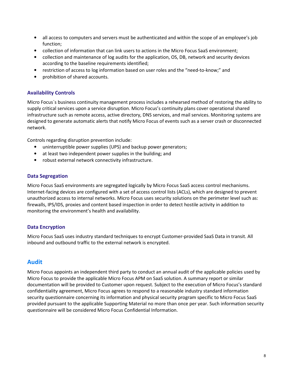- all access to computers and servers must be authenticated and within the scope of an employee's job function;
- collection of information that can link users to actions in the Micro Focus SaaS environment;
- collection and maintenance of log audits for the application, OS, DB, network and security devices according to the baseline requirements identified;
- restriction of access to log information based on user roles and the "need-to-know;" and
- prohibition of shared accounts.

## **Availability Controls**

Micro Focus´s business continuity management process includes a rehearsed method of restoring the ability to supply critical services upon a service disruption. Micro Focus's continuity plans cover operational shared infrastructure such as remote access, active directory, DNS services, and mail services. Monitoring systems are designed to generate automatic alerts that notify Micro Focus of events such as a server crash or disconnected network.

Controls regarding disruption prevention include:

- uninterruptible power supplies (UPS) and backup power generators;
- at least two independent power supplies in the building; and
- robust external network connectivity infrastructure.

#### **Data Segregation**

Micro Focus SaaS environments are segregated logically by Micro Focus SaaS access control mechanisms. Internet-facing devices are configured with a set of access control lists (ACLs), which are designed to prevent unauthorized access to internal networks. Micro Focus uses security solutions on the perimeter level such as: firewalls, IPS/IDS, proxies and content based inspection in order to detect hostile activity in addition to monitoring the environment's health and availability.

#### **Data Encryption**

Micro Focus SaaS uses industry standard techniques to encrypt Customer-provided SaaS Data in transit. All inbound and outbound traffic to the external network is encrypted.

## **Audit**

Micro Focus appoints an independent third party to conduct an annual audit of the applicable policies used by Micro Focus to provide the applicable Micro Focus APM on SaaS solution. A summary report or similar documentation will be provided to Customer upon request. Subject to the execution of Micro Focus's standard confidentiality agreement, Micro Focus agrees to respond to a reasonable industry standard information security questionnaire concerning its information and physical security program specific to Micro Focus SaaS provided pursuant to the applicable Supporting Material no more than once per year. Such information security questionnaire will be considered Micro Focus Confidential Information.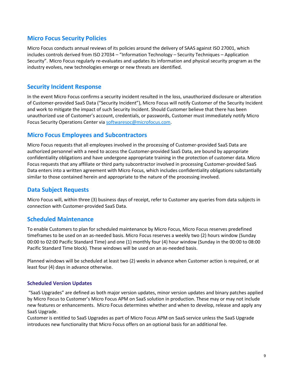## **Micro Focus Security Policies**

Micro Focus conducts annual reviews of its policies around the delivery of SAAS against ISO 27001, which includes controls derived from ISO 27034 – "Information Technology – Security Techniques – Application Security". Micro Focus regularly re-evaluates and updates its information and physical security program as the industry evolves, new technologies emerge or new threats are identified.

## **Security Incident Response**

In the event Micro Focus confirms a security incident resulted in the loss, unauthorized disclosure or alteration of Customer-provided SaaS Data ("Security Incident"), Micro Focus will notify Customer of the Security Incident and work to mitigate the impact of such Security Incident. Should Customer believe that there has been unauthorized use of Customer's account, credentials, or passwords, Customer must immediately notify Micro Focus Security Operations Center via softwaresoc@microfocus.com.

## **Micro Focus Employees and Subcontractors**

Micro Focus requests that all employees involved in the processing of Customer-provided SaaS Data are authorized personnel with a need to access the Customer-provided SaaS Data, are bound by appropriate confidentiality obligations and have undergone appropriate training in the protection of customer data. Micro Focus requests that any affiliate or third party subcontractor involved in processing Customer-provided SaaS Data enters into a written agreement with Micro Focus, which includes confidentiality obligations substantially similar to those contained herein and appropriate to the nature of the processing involved.

## **Data Subject Requests**

Micro Focus will, within three (3) business days of receipt, refer to Customer any queries from data subjects in connection with Customer-provided SaaS Data.

## **Scheduled Maintenance**

To enable Customers to plan for scheduled maintenance by Micro Focus, Micro Focus reserves predefined timeframes to be used on an as-needed basis. Micro Focus reserves a weekly two (2) hours window (Sunday 00:00 to 02:00 Pacific Standard Time) and one (1) monthly four (4) hour window (Sunday in the 00:00 to 08:00 Pacific Standard Time block). These windows will be used on an as-needed basis.

Planned windows will be scheduled at least two (2) weeks in advance when Customer action is required, or at least four (4) days in advance otherwise.

## **Scheduled Version Updates**

 "SaaS Upgrades" are defined as both major version updates, minor version updates and binary patches applied by Micro Focus to Customer's Micro Focus APM on SaaS solution in production. These may or may not include new features or enhancements. Micro Focus determines whether and when to develop, release and apply any SaaS Upgrade.

Customer is entitled to SaaS Upgrades as part of Micro Focus APM on SaaS service unless the SaaS Upgrade introduces new functionality that Micro Focus offers on an optional basis for an additional fee.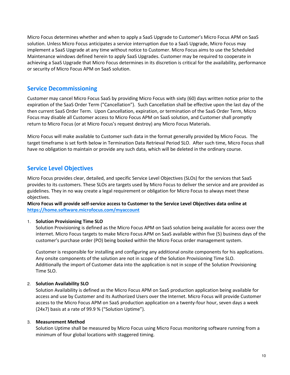Micro Focus determines whether and when to apply a SaaS Upgrade to Customer's Micro Focus APM on SaaS solution. Unless Micro Focus anticipates a service interruption due to a SaaS Upgrade, Micro Focus may implement a SaaS Upgrade at any time without notice to Customer. Micro Focus aims to use the Scheduled Maintenance windows defined herein to apply SaaS Upgrades. Customer may be required to cooperate in achieving a SaaS Upgrade that Micro Focus determines in its discretion is critical for the availability, performance or security of Micro Focus APM on SaaS solution.

## **Service Decommissioning**

Customer may cancel Micro Focus SaaS by providing Micro Focus with sixty (60) days written notice prior to the expiration of the SaaS Order Term ("Cancellation"). Such Cancellation shall be effective upon the last day of the then current SaaS Order Term. Upon Cancellation, expiration, or termination of the SaaS Order Term, Micro Focus may disable all Customer access to Micro Focus APM on SaaS solution, and Customer shall promptly return to Micro Focus (or at Micro Focus's request destroy) any Micro Focus Materials.

Micro Focus will make available to Customer such data in the format generally provided by Micro Focus. The target timeframe is set forth below in Termination Data Retrieval Period SLO. After such time, Micro Focus shall have no obligation to maintain or provide any such data, which will be deleted in the ordinary course.

## **Service Level Objectives**

Micro Focus provides clear, detailed, and specific Service Level Objectives (SLOs) for the services that SaaS provides to its customers. These SLOs are targets used by Micro Focus to deliver the service and are provided as guidelines. They in no way create a legal requirement or obligation for Micro Focus to always meet these objectives.

**Micro Focus will provide self-service access to Customer to the Service Level Objectives data online at https://home.software.microfocus.com/myaccount** 

## 1. **Solution Provisioning Time SLO**

Solution Provisioning is defined as the Micro Focus APM on SaaS solution being available for access over the internet. Micro Focus targets to make Micro Focus APM on SaaS available within five (5) business days of the customer's purchase order (PO) being booked within the Micro Focus order management system.

Customer is responsible for installing and configuring any additional onsite components for his applications. Any onsite components of the solution are not in scope of the Solution Provisioning Time SLO. Additionally the import of Customer data into the application is not in scope of the Solution Provisioning Time SLO.

## 2. **Solution Availability SLO**

Solution Availability is defined as the Micro Focus APM on SaaS production application being available for access and use by Customer and its Authorized Users over the Internet. Micro Focus will provide Customer access to the Micro Focus APM on SaaS production application on a twenty-four hour, seven days a week (24x7) basis at a rate of 99.9 % ("Solution Uptime").

## 3. **Measurement Method**

Solution Uptime shall be measured by Micro Focus using Micro Focus monitoring software running from a minimum of four global locations with staggered timing.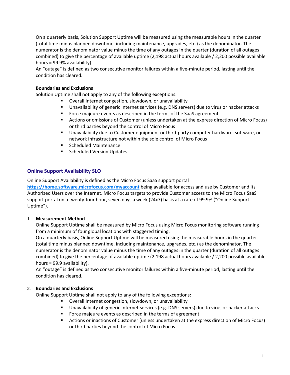On a quarterly basis, Solution Support Uptime will be measured using the measurable hours in the quarter (total time minus planned downtime, including maintenance, upgrades, etc.) as the denominator. The numerator is the denominator value minus the time of any outages in the quarter (duration of all outages combined) to give the percentage of available uptime (2,198 actual hours available / 2,200 possible available hours = 99.9% availability).

An "outage" is defined as two consecutive monitor failures within a five-minute period, lasting until the condition has cleared.

#### **Boundaries and Exclusions**

Solution Uptime shall not apply to any of the following exceptions:

- Overall Internet congestion, slowdown, or unavailability
- Unavailability of generic Internet services (e.g. DNS servers) due to virus or hacker attacks
- Force majeure events as described in the terms of the SaaS agreement
- Actions or omissions of Customer (unless undertaken at the express direction of Micro Focus) or third parties beyond the control of Micro Focus
- Unavailability due to Customer equipment or third-party computer hardware, software, or network infrastructure not within the sole control of Micro Focus
- Scheduled Maintenance
- Scheduled Version Updates

## **Online Support Availability SLO**

Online Support Availability is defined as the Micro Focus SaaS support portal

**https://home.software.microfocus.com/myaccount** being available for access and use by Customer and its Authorized Users over the Internet. Micro Focus targets to provide Customer access to the Micro Focus SaaS support portal on a twenty-four hour, seven days a week (24x7) basis at a rate of 99.9% ("Online Support Uptime").

## 1. **Measurement Method**

Online Support Uptime shall be measured by Micro Focus using Micro Focus monitoring software running from a minimum of four global locations with staggered timing.

On a quarterly basis, Online Support Uptime will be measured using the measurable hours in the quarter (total time minus planned downtime, including maintenance, upgrades, etc.) as the denominator. The numerator is the denominator value minus the time of any outages in the quarter (duration of all outages combined) to give the percentage of available uptime (2,198 actual hours available / 2,200 possible available hours = 99.9 availability).

An "outage" is defined as two consecutive monitor failures within a five-minute period, lasting until the condition has cleared.

## 2. **Boundaries and Exclusions**

Online Support Uptime shall not apply to any of the following exceptions:

- Overall Internet congestion, slowdown, or unavailability
- Unavailability of generic Internet services (e.g. DNS servers) due to virus or hacker attacks
- **F** Force majeure events as described in the terms of agreement
- Actions or inactions of Customer (unless undertaken at the express direction of Micro Focus) or third parties beyond the control of Micro Focus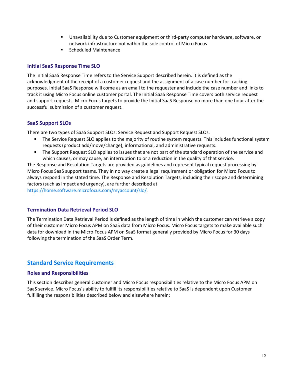- Unavailability due to Customer equipment or third-party computer hardware, software, or network infrastructure not within the sole control of Micro Focus
- Scheduled Maintenance

## **Initial SaaS Response Time SLO**

The Initial SaaS Response Time refers to the Service Support described herein. It is defined as the acknowledgment of the receipt of a customer request and the assignment of a case number for tracking purposes. Initial SaaS Response will come as an email to the requester and include the case number and links to track it using Micro Focus online customer portal. The Initial SaaS Response Time covers both service request and support requests. Micro Focus targets to provide the Initial SaaS Response no more than one hour after the successful submission of a customer request.

## **SaaS Support SLOs**

There are two types of SaaS Support SLOs: Service Request and Support Request SLOs.

- The Service Request SLO applies to the majority of routine system requests. This includes functional system requests (product add/move/change), informational, and administrative requests.
- The Support Request SLO applies to issues that are not part of the standard operation of the service and which causes, or may cause, an interruption to or a reduction in the quality of that service.

The Response and Resolution Targets are provided as guidelines and represent typical request processing by Micro Focus SaaS support teams. They in no way create a legal requirement or obligation for Micro Focus to always respond in the stated time. The Response and Resolution Targets, including their scope and determining factors (such as impact and urgency), are further described at

https://home.software.microfocus.com/myaccount/slo/.

## **Termination Data Retrieval Period SLO**

The Termination Data Retrieval Period is defined as the length of time in which the customer can retrieve a copy of their customer Micro Focus APM on SaaS data from Micro Focus. Micro Focus targets to make available such data for download in the Micro Focus APM on SaaS format generally provided by Micro Focus for 30 days following the termination of the SaaS Order Term.

## **Standard Service Requirements**

#### **Roles and Responsibilities**

This section describes general Customer and Micro Focus responsibilities relative to the Micro Focus APM on SaaS service. Micro Focus's ability to fulfill its responsibilities relative to SaaS is dependent upon Customer fulfilling the responsibilities described below and elsewhere herein: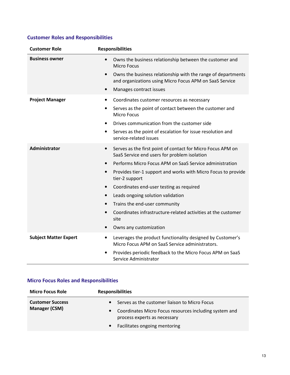# **Customer Roles and Responsibilities**

| <b>Customer Role</b>         | <b>Responsibilities</b>                                                                                                                                                                                                                                                                                                                                                                                                                                                                                                                                                   |
|------------------------------|---------------------------------------------------------------------------------------------------------------------------------------------------------------------------------------------------------------------------------------------------------------------------------------------------------------------------------------------------------------------------------------------------------------------------------------------------------------------------------------------------------------------------------------------------------------------------|
| <b>Business owner</b>        | Owns the business relationship between the customer and<br>$\bullet$<br><b>Micro Focus</b><br>Owns the business relationship with the range of departments<br>$\bullet$<br>and organizations using Micro Focus APM on SaaS Service<br>Manages contract issues<br>$\bullet$                                                                                                                                                                                                                                                                                                |
| <b>Project Manager</b>       | Coordinates customer resources as necessary<br>$\bullet$<br>Serves as the point of contact between the customer and<br>٠<br>Micro Focus<br>Drives communication from the customer side<br>$\bullet$<br>Serves as the point of escalation for issue resolution and<br>$\bullet$<br>service-related issues                                                                                                                                                                                                                                                                  |
| Administrator                | Serves as the first point of contact for Micro Focus APM on<br>$\bullet$<br>SaaS Service end users for problem isolation<br>Performs Micro Focus APM on SaaS Service administration<br>$\bullet$<br>Provides tier-1 support and works with Micro Focus to provide<br>$\bullet$<br>tier-2 support<br>Coordinates end-user testing as required<br>$\bullet$<br>Leads ongoing solution validation<br>$\bullet$<br>Trains the end-user community<br>$\bullet$<br>Coordinates infrastructure-related activities at the customer<br>$\bullet$<br>site<br>Owns any customization |
| <b>Subject Matter Expert</b> | Leverages the product functionality designed by Customer's<br>$\bullet$<br>Micro Focus APM on SaaS Service administrators.<br>Provides periodic feedback to the Micro Focus APM on SaaS<br>$\bullet$<br>Service Administrator                                                                                                                                                                                                                                                                                                                                             |

# **Micro Focus Roles and Responsibilities**

| <b>Micro Focus Role</b>                         | <b>Responsibilities</b>                                                                             |
|-------------------------------------------------|-----------------------------------------------------------------------------------------------------|
| <b>Customer Success</b><br><b>Manager (CSM)</b> | Serves as the customer liaison to Micro Focus<br>$\bullet$                                          |
|                                                 | Coordinates Micro Focus resources including system and<br>$\bullet$<br>process experts as necessary |
|                                                 | Facilitates ongoing mentoring<br>$\bullet$                                                          |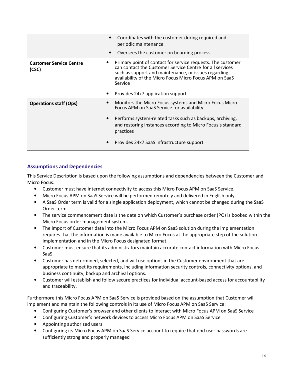|                                         | Coordinates with the customer during required and<br>periodic maintenance<br>Oversees the customer on boarding process                                                                                                                                                                     |
|-----------------------------------------|--------------------------------------------------------------------------------------------------------------------------------------------------------------------------------------------------------------------------------------------------------------------------------------------|
| <b>Customer Service Centre</b><br>(CSC) | Primary point of contact for service requests. The customer<br>can contact the Customer Service Centre for all services<br>such as support and maintenance, or issues regarding<br>availability of the Micro Focus Micro Focus APM on SaaS<br>Service<br>Provides 24x7 application support |
| <b>Operations staff (Ops)</b>           | Monitors the Micro Focus systems and Micro Focus Micro<br>Focus APM on SaaS Service for availability<br>Performs system-related tasks such as backups, archiving,<br>$\bullet$<br>and restoring instances according to Micro Focus's standard<br>practices                                 |
|                                         | Provides 24x7 SaaS infrastructure support                                                                                                                                                                                                                                                  |

## **Assumptions and Dependencies**

This Service Description is based upon the following assumptions and dependencies between the Customer and Micro Focus:

- Customer must have internet connectivity to access this Micro Focus APM on SaaS Service.
- Micro Focus APM on SaaS Service will be performed remotely and delivered in English only.
- A SaaS Order term is valid for a single application deployment, which cannot be changed during the SaaS Order term.
- The service commencement date is the date on which Customer´s purchase order (PO) is booked within the Micro Focus order management system.
- The import of Customer data into the Micro Focus APM on SaaS solution during the implementation requires that the information is made available to Micro Focus at the appropriate step of the solution implementation and in the Micro Focus designated format.
- Customer must ensure that its administrators maintain accurate contact information with Micro Focus SaaS.
- Customer has determined, selected, and will use options in the Customer environment that are appropriate to meet its requirements, including information security controls, connectivity options, and business continuity, backup and archival options.
- Customer will establish and follow secure practices for individual account-based access for accountability and traceability.

Furthermore this Micro Focus APM on SaaS Service is provided based on the assumption that Customer will implement and maintain the following controls in its use of Micro Focus APM on SaaS Service:

- Configuring Customer's browser and other clients to interact with Micro Focus APM on SaaS Service
- Configuring Customer's network devices to access Micro Focus APM on SaaS Service
- Appointing authorized users
- Configuring its Micro Focus APM on SaaS Service account to require that end user passwords are sufficiently strong and properly managed